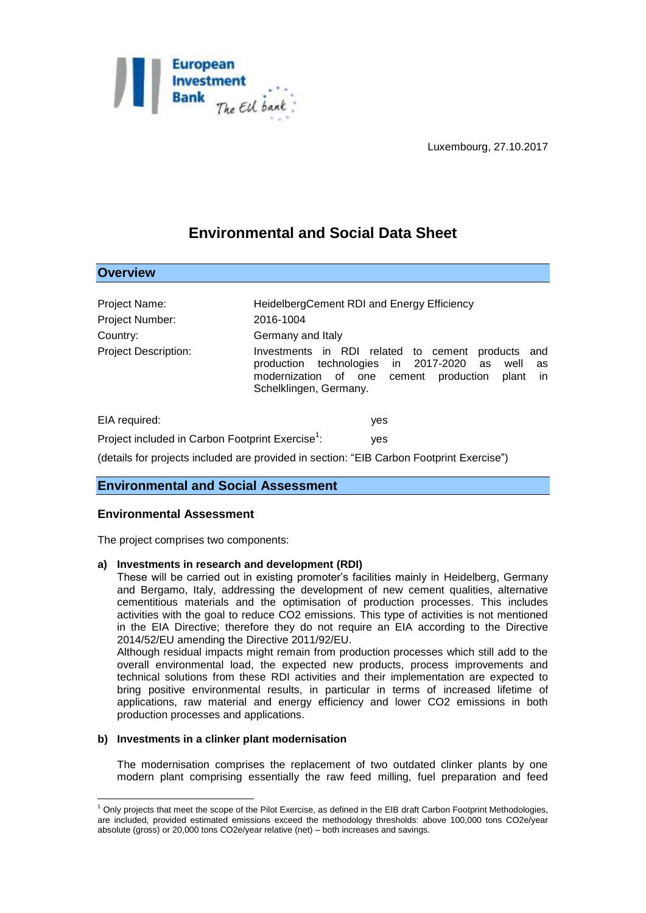

# **Environmental and Social Data Sheet**

| Project Name:                                                | HeidelbergCement RDI and Energy Efficiency                                                                                                                                                                     |
|--------------------------------------------------------------|----------------------------------------------------------------------------------------------------------------------------------------------------------------------------------------------------------------|
| Project Number:                                              | 2016-1004                                                                                                                                                                                                      |
| Country:                                                     | Germany and Italy                                                                                                                                                                                              |
| <b>Project Description:</b>                                  | Investments in RDI related to cement<br>products and<br>production technologies in 2017-2020<br>as<br>well<br>as<br>modernization of one cement production<br>plant<br><sub>in</sub><br>Schelklingen, Germany. |
| EIA required:                                                | yes                                                                                                                                                                                                            |
| Project included in Carbon Footprint Exercise <sup>1</sup> : | yes                                                                                                                                                                                                            |

(details for projects included are provided in section: "EIB Carbon Footprint Exercise")

# **Environmental and Social Assessment**

## **Environmental Assessment**

**Overview**

1

The project comprises two components:

#### **a) Investments in research and development (RDI)**

These will be carried out in existing promoter's facilities mainly in Heidelberg, Germany and Bergamo, Italy, addressing the development of new cement qualities, alternative cementitious materials and the optimisation of production processes. This includes activities with the goal to reduce CO2 emissions. This type of activities is not mentioned in the EIA Directive; therefore they do not require an EIA according to the Directive 2014/52/EU amending the Directive 2011/92/EU.

Although residual impacts might remain from production processes which still add to the overall environmental load, the expected new products, process improvements and technical solutions from these RDI activities and their implementation are expected to bring positive environmental results, in particular in terms of increased lifetime of applications, raw material and energy efficiency and lower CO2 emissions in both production processes and applications.

#### **b) Investments in a clinker plant modernisation**

The modernisation comprises the replacement of two outdated clinker plants by one modern plant comprising essentially the raw feed milling, fuel preparation and feed

 $1$  Only projects that meet the scope of the Pilot Exercise, as defined in the EIB draft Carbon Footprint Methodologies, are included, provided estimated emissions exceed the methodology thresholds: above 100,000 tons CO2e/year absolute (gross) or 20,000 tons CO2e/year relative (net) – both increases and savings.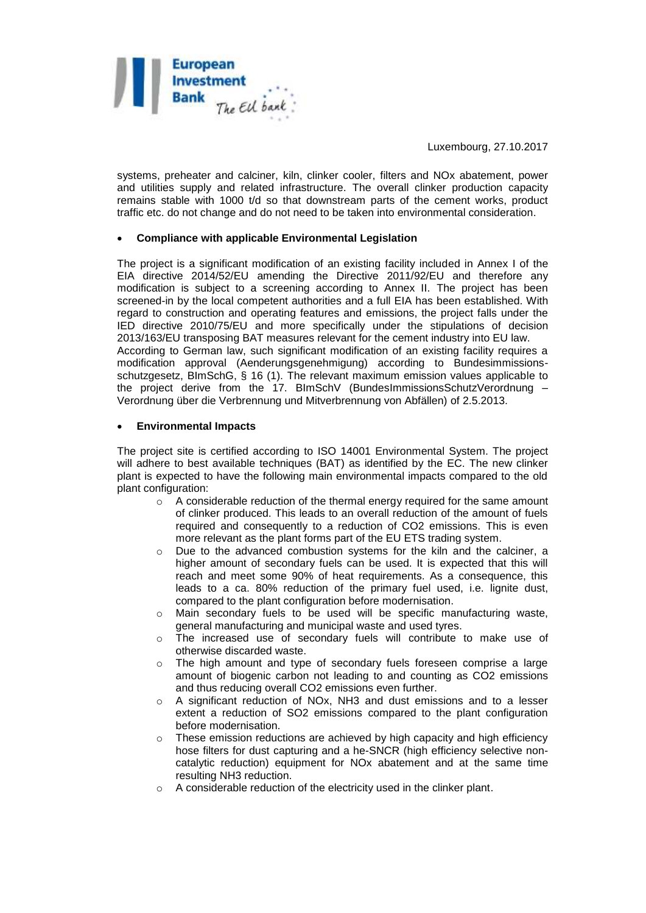

systems, preheater and calciner, kiln, clinker cooler, filters and NOx abatement, power and utilities supply and related infrastructure. The overall clinker production capacity remains stable with 1000 t/d so that downstream parts of the cement works, product traffic etc. do not change and do not need to be taken into environmental consideration.

#### **Compliance with applicable Environmental Legislation**

The project is a significant modification of an existing facility included in Annex I of the EIA directive 2014/52/EU amending the Directive 2011/92/EU and therefore any modification is subject to a screening according to Annex II. The project has been screened-in by the local competent authorities and a full EIA has been established. With regard to construction and operating features and emissions, the project falls under the IED directive 2010/75/EU and more specifically under the stipulations of decision 2013/163/EU transposing BAT measures relevant for the cement industry into EU law. According to German law, such significant modification of an existing facility requires a modification approval (Aenderungsgenehmigung) according to Bundesimmissionsschutzgesetz, BImSchG, § 16 (1). The relevant maximum emission values applicable to the project derive from the 17. BImSchV (BundesImmissionsSchutzVerordnung – Verordnung über die Verbrennung und Mitverbrennung von Abfällen) of 2.5.2013.

#### **Environmental Impacts**

The project site is certified according to ISO 14001 Environmental System. The project will adhere to best available techniques (BAT) as identified by the EC. The new clinker plant is expected to have the following main environmental impacts compared to the old plant configuration:

- $\circ$  A considerable reduction of the thermal energy required for the same amount of clinker produced. This leads to an overall reduction of the amount of fuels required and consequently to a reduction of CO2 emissions. This is even more relevant as the plant forms part of the EU ETS trading system.
- o Due to the advanced combustion systems for the kiln and the calciner, a higher amount of secondary fuels can be used. It is expected that this will reach and meet some 90% of heat requirements. As a consequence, this leads to a ca. 80% reduction of the primary fuel used, i.e. lignite dust, compared to the plant configuration before modernisation.
- o Main secondary fuels to be used will be specific manufacturing waste, general manufacturing and municipal waste and used tyres.
- $\circ$  The increased use of secondary fuels will contribute to make use of otherwise discarded waste.
- $\circ$  The high amount and type of secondary fuels foreseen comprise a large amount of biogenic carbon not leading to and counting as CO2 emissions and thus reducing overall CO2 emissions even further.
- o A significant reduction of NOx, NH3 and dust emissions and to a lesser extent a reduction of SO2 emissions compared to the plant configuration before modernisation.
- $\circ$  These emission reductions are achieved by high capacity and high efficiency hose filters for dust capturing and a he-SNCR (high efficiency selective noncatalytic reduction) equipment for NOx abatement and at the same time resulting NH3 reduction.
- o A considerable reduction of the electricity used in the clinker plant.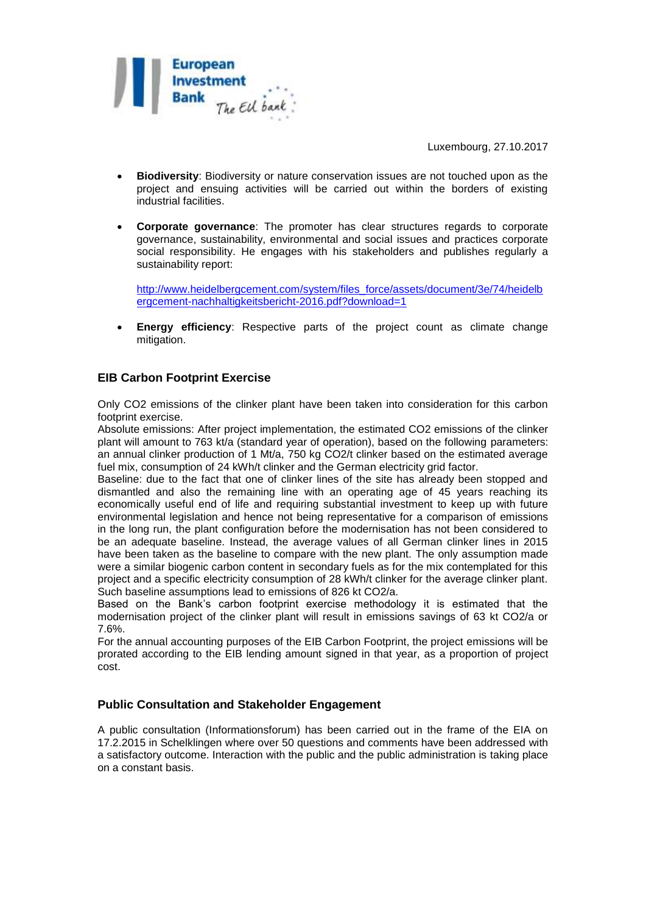

- **Biodiversity**: Biodiversity or nature conservation issues are not touched upon as the project and ensuing activities will be carried out within the borders of existing industrial facilities.
- **Corporate governance**: The promoter has clear structures regards to corporate governance, sustainability, environmental and social issues and practices corporate social responsibility. He engages with his stakeholders and publishes regularly a sustainability report:

[http://www.heidelbergcement.com/system/files\\_force/assets/document/3e/74/heidelb](http://www.heidelbergcement.com/system/files_force/assets/document/3e/74/heidelbergcement-nachhaltigkeitsbericht-2016.pdf?download=1) [ergcement-nachhaltigkeitsbericht-2016.pdf?download=1](http://www.heidelbergcement.com/system/files_force/assets/document/3e/74/heidelbergcement-nachhaltigkeitsbericht-2016.pdf?download=1)

 **Energy efficiency**: Respective parts of the project count as climate change mitigation.

# **EIB Carbon Footprint Exercise**

Only CO2 emissions of the clinker plant have been taken into consideration for this carbon footprint exercise.

Absolute emissions: After project implementation, the estimated CO2 emissions of the clinker plant will amount to 763 kt/a (standard year of operation), based on the following parameters: an annual clinker production of 1 Mt/a, 750 kg CO2/t clinker based on the estimated average fuel mix, consumption of 24 kWh/t clinker and the German electricity grid factor.

Baseline: due to the fact that one of clinker lines of the site has already been stopped and dismantled and also the remaining line with an operating age of 45 years reaching its economically useful end of life and requiring substantial investment to keep up with future environmental legislation and hence not being representative for a comparison of emissions in the long run, the plant configuration before the modernisation has not been considered to be an adequate baseline. Instead, the average values of all German clinker lines in 2015 have been taken as the baseline to compare with the new plant. The only assumption made were a similar biogenic carbon content in secondary fuels as for the mix contemplated for this project and a specific electricity consumption of 28 kWh/t clinker for the average clinker plant. Such baseline assumptions lead to emissions of 826 kt CO2/a.

Based on the Bank's carbon footprint exercise methodology it is estimated that the modernisation project of the clinker plant will result in emissions savings of 63 kt CO2/a or 7.6%.

For the annual accounting purposes of the EIB Carbon Footprint, the project emissions will be prorated according to the EIB lending amount signed in that year, as a proportion of project cost.

## **Public Consultation and Stakeholder Engagement**

A public consultation (Informationsforum) has been carried out in the frame of the EIA on 17.2.2015 in Schelklingen where over 50 questions and comments have been addressed with a satisfactory outcome. Interaction with the public and the public administration is taking place on a constant basis.